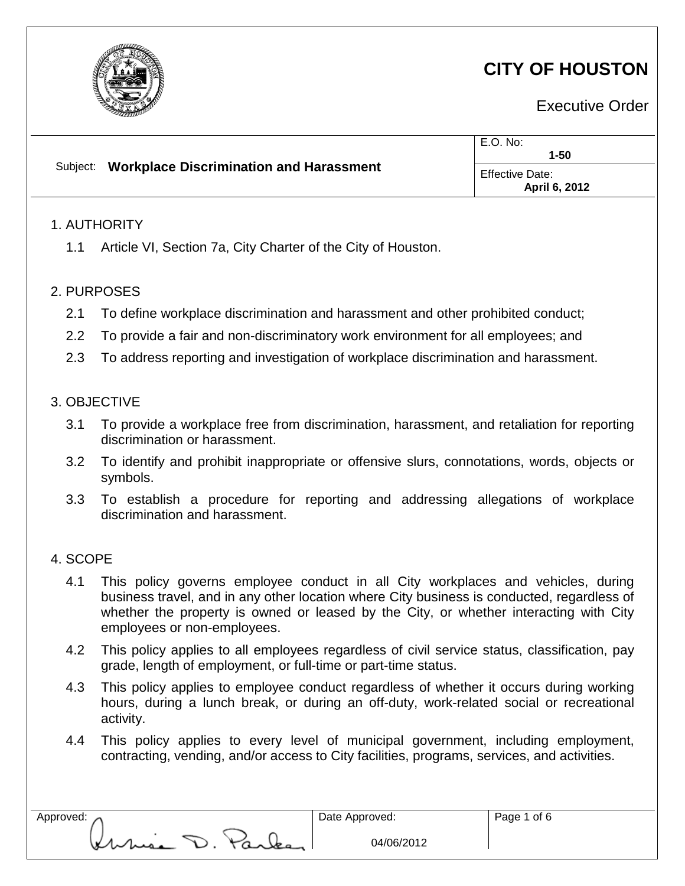

# **CITY OF HOUSTON**

Executive Order

|                                                                                     | $E.O.$ No:<br>$1 - 50$                  |  |
|-------------------------------------------------------------------------------------|-----------------------------------------|--|
| <b>Workplace Discrimination and Harassment</b><br>Subject:                          | <b>Effective Date:</b><br>April 6, 2012 |  |
| 1. AUTHORITY                                                                        |                                         |  |
| Article VI, Section 7a, City Charter of the City of Houston.<br>1.1                 |                                         |  |
| 2. PURPOSES                                                                         |                                         |  |
| 2.4 To define werkplace discrimination and berseement and other probibited conductu |                                         |  |

- 2.1 To define workplace discrimination and harassment and other prohibited conduct;
- 2.2 To provide a fair and non-discriminatory work environment for all employees; and
- 2.3 To address reporting and investigation of workplace discrimination and harassment.

# 3. OBJECTIVE

- 3.1 To provide a workplace free from discrimination, harassment, and retaliation for reporting discrimination or harassment.
- 3.2 To identify and prohibit inappropriate or offensive slurs, connotations, words, objects or symbols.
- 3.3 To establish a procedure for reporting and addressing allegations of workplace discrimination and harassment.

## 4. SCOPE

- 4.1 This policy governs employee conduct in all City workplaces and vehicles, during business travel, and in any other location where City business is conducted, regardless of whether the property is owned or leased by the City, or whether interacting with City employees or non-employees.
- 4.2 This policy applies to all employees regardless of civil service status, classification, pay grade, length of employment, or full-time or part-time status.
- 4.3 This policy applies to employee conduct regardless of whether it occurs during working hours, during a lunch break, or during an off-duty, work-related social or recreational activity.
- 4.4 This policy applies to every level of municipal government, including employment, contracting, vending, and/or access to City facilities, programs, services, and activities.

mia D. Park

Approved: 2008. Approved: 2008. Approved: 2008. Approved: 2008. Approved: 2008. Approved: 2008. Approved: 2008. Approved: 2008. Approved: 2008. Approved: 2008. Approved: 2008. Approved: 2008. Approved: 2008. Approved: 2008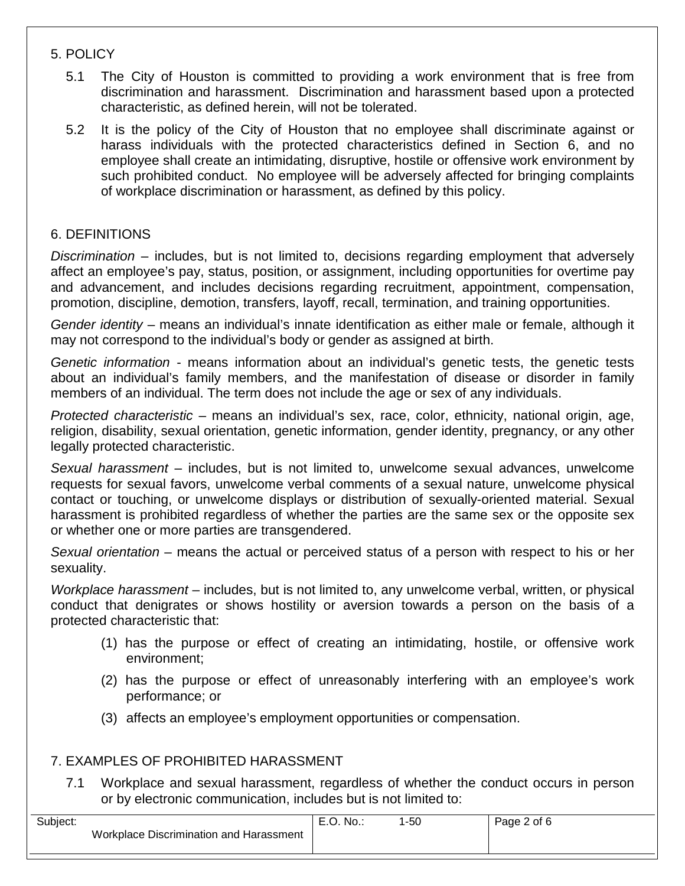#### 5. POLICY

- 5.1 The City of Houston is committed to providing a work environment that is free from discrimination and harassment. Discrimination and harassment based upon a protected characteristic, as defined herein, will not be tolerated.
- 5.2 It is the policy of the City of Houston that no employee shall discriminate against or harass individuals with the protected characteristics defined in Section 6, and no employee shall create an intimidating, disruptive, hostile or offensive work environment by such prohibited conduct. No employee will be adversely affected for bringing complaints of workplace discrimination or harassment, as defined by this policy.

#### 6. DEFINITIONS

*Discrimination* – includes, but is not limited to, decisions regarding employment that adversely affect an employee's pay, status, position, or assignment, including opportunities for overtime pay and advancement, and includes decisions regarding recruitment, appointment, compensation, promotion, discipline, demotion, transfers, layoff, recall, termination, and training opportunities.

*Gender identity* – means an individual's innate identification as either male or female, although it may not correspond to the individual's body or gender as assigned at birth.

*Genetic information* - means information about an individual's genetic tests, the genetic tests about an individual's family members, and the manifestation of disease or disorder in family members of an individual. The term does not include the age or sex of any individuals.

*Protected characteristic* – means an individual's sex, race, color, ethnicity, national origin, age, religion, disability, sexual orientation, genetic information, gender identity, pregnancy, or any other legally protected characteristic.

*Sexual harassment* – includes, but is not limited to, unwelcome sexual advances, unwelcome requests for sexual favors, unwelcome verbal comments of a sexual nature, unwelcome physical contact or touching, or unwelcome displays or distribution of sexually-oriented material. Sexual harassment is prohibited regardless of whether the parties are the same sex or the opposite sex or whether one or more parties are transgendered.

*Sexual orientation* – means the actual or perceived status of a person with respect to his or her sexuality.

*Workplace harassment* – includes, but is not limited to, any unwelcome verbal, written, or physical conduct that denigrates or shows hostility or aversion towards a person on the basis of a protected characteristic that:

- (1) has the purpose or effect of creating an intimidating, hostile, or offensive work environment;
- (2) has the purpose or effect of unreasonably interfering with an employee's work performance; or
- (3) affects an employee's employment opportunities or compensation.

## 7. EXAMPLES OF PROHIBITED HARASSMENT

7.1 Workplace and sexual harassment, regardless of whether the conduct occurs in person or by electronic communication, includes but is not limited to:

| Subject: |                                         | No.: | $-50$ | Page 2 of 6 |
|----------|-----------------------------------------|------|-------|-------------|
|          | Workplace Discrimination and Harassment |      |       |             |
|          |                                         |      |       |             |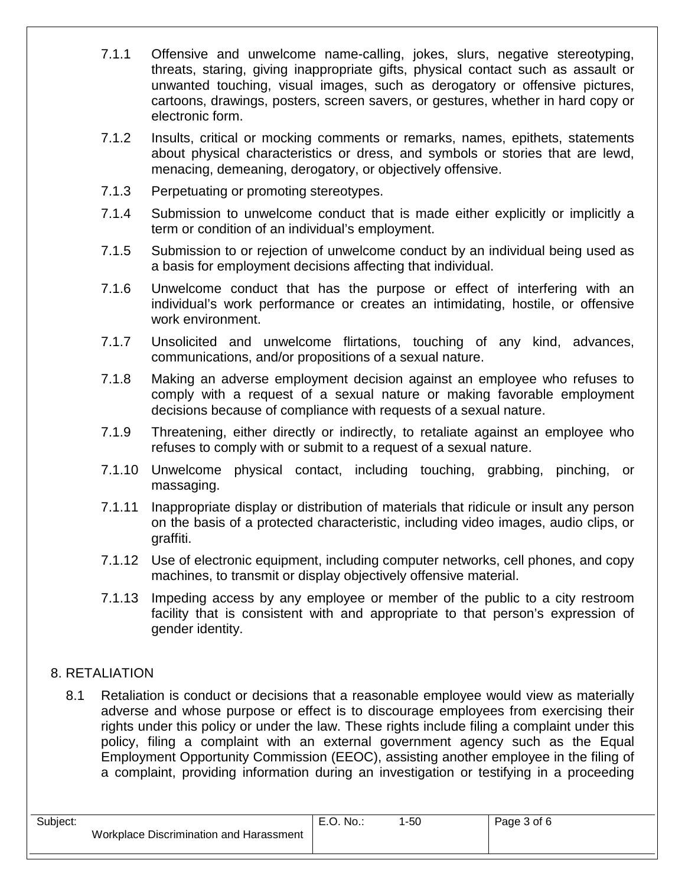- 7.1.1 Offensive and unwelcome name-calling, jokes, slurs, negative stereotyping, threats, staring, giving inappropriate gifts, physical contact such as assault or unwanted touching, visual images, such as derogatory or offensive pictures, cartoons, drawings, posters, screen savers, or gestures, whether in hard copy or electronic form.
- 7.1.2 Insults, critical or mocking comments or remarks, names, epithets, statements about physical characteristics or dress, and symbols or stories that are lewd, menacing, demeaning, derogatory, or objectively offensive.
- 7.1.3 Perpetuating or promoting stereotypes.
- 7.1.4 Submission to unwelcome conduct that is made either explicitly or implicitly a term or condition of an individual's employment.
- 7.1.5 Submission to or rejection of unwelcome conduct by an individual being used as a basis for employment decisions affecting that individual.
- 7.1.6 Unwelcome conduct that has the purpose or effect of interfering with an individual's work performance or creates an intimidating, hostile, or offensive work environment.
- 7.1.7 Unsolicited and unwelcome flirtations, touching of any kind, advances, communications, and/or propositions of a sexual nature.
- 7.1.8 Making an adverse employment decision against an employee who refuses to comply with a request of a sexual nature or making favorable employment decisions because of compliance with requests of a sexual nature.
- 7.1.9 Threatening, either directly or indirectly, to retaliate against an employee who refuses to comply with or submit to a request of a sexual nature.
- 7.1.10 Unwelcome physical contact, including touching, grabbing, pinching, or massaging.
- 7.1.11 Inappropriate display or distribution of materials that ridicule or insult any person on the basis of a protected characteristic, including video images, audio clips, or graffiti.
- 7.1.12 Use of electronic equipment, including computer networks, cell phones, and copy machines, to transmit or display objectively offensive material.
- 7.1.13 Impeding access by any employee or member of the public to a city restroom facility that is consistent with and appropriate to that person's expression of gender identity.

# 8. RETALIATION

8.1 Retaliation is conduct or decisions that a reasonable employee would view as materially adverse and whose purpose or effect is to discourage employees from exercising their rights under this policy or under the law. These rights include filing a complaint under this policy, filing a complaint with an external government agency such as the Equal Employment Opportunity Commission (EEOC), assisting another employee in the filing of a complaint, providing information during an investigation or testifying in a proceeding

| Subject: | Workplace Discrimination and Harassment | E.O. No.: | $-50$ | Page 3 of 6 |
|----------|-----------------------------------------|-----------|-------|-------------|
|          |                                         |           |       |             |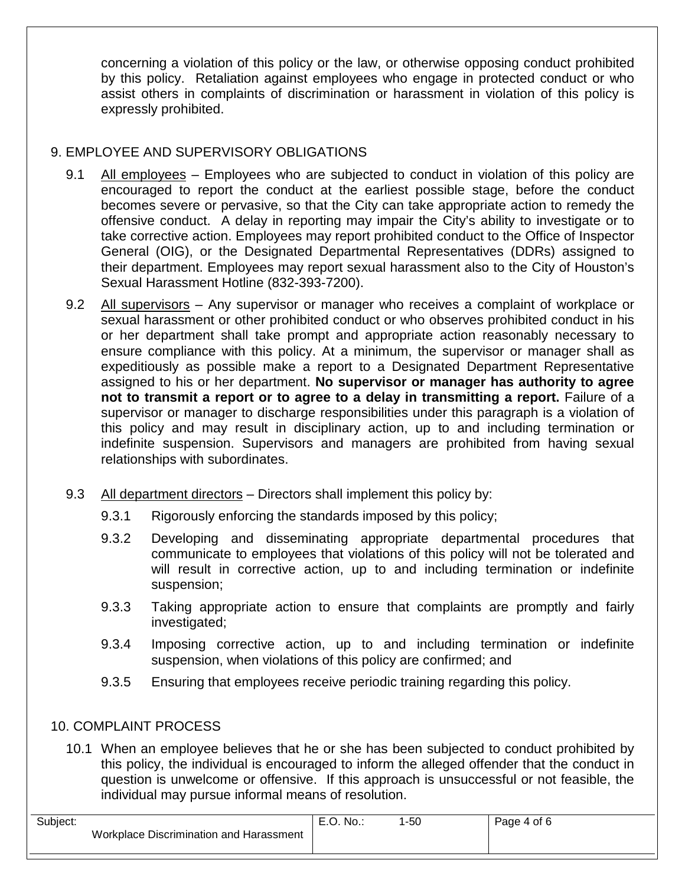concerning a violation of this policy or the law, or otherwise opposing conduct prohibited by this policy. Retaliation against employees who engage in protected conduct or who assist others in complaints of discrimination or harassment in violation of this policy is expressly prohibited.

# 9. EMPLOYEE AND SUPERVISORY OBLIGATIONS

- 9.1 All employees Employees who are subjected to conduct in violation of this policy are encouraged to report the conduct at the earliest possible stage, before the conduct becomes severe or pervasive, so that the City can take appropriate action to remedy the offensive conduct. A delay in reporting may impair the City's ability to investigate or to take corrective action. Employees may report prohibited conduct to the Office of Inspector General (OIG), or the Designated Departmental Representatives (DDRs) assigned to their department. Employees may report sexual harassment also to the City of Houston's Sexual Harassment Hotline (832-393-7200).
- 9.2 All supervisors Any supervisor or manager who receives a complaint of workplace or sexual harassment or other prohibited conduct or who observes prohibited conduct in his or her department shall take prompt and appropriate action reasonably necessary to ensure compliance with this policy. At a minimum, the supervisor or manager shall as expeditiously as possible make a report to a Designated Department Representative assigned to his or her department. **No supervisor or manager has authority to agree not to transmit a report or to agree to a delay in transmitting a report.** Failure of a supervisor or manager to discharge responsibilities under this paragraph is a violation of this policy and may result in disciplinary action, up to and including termination or indefinite suspension. Supervisors and managers are prohibited from having sexual relationships with subordinates.
- 9.3 All department directors Directors shall implement this policy by:
	- 9.3.1 Rigorously enforcing the standards imposed by this policy;
	- 9.3.2 Developing and disseminating appropriate departmental procedures that communicate to employees that violations of this policy will not be tolerated and will result in corrective action, up to and including termination or indefinite suspension;
	- 9.3.3 Taking appropriate action to ensure that complaints are promptly and fairly investigated;
	- 9.3.4 Imposing corrective action, up to and including termination or indefinite suspension, when violations of this policy are confirmed; and
	- 9.3.5 Ensuring that employees receive periodic training regarding this policy.

## 10. COMPLAINT PROCESS

10.1 When an employee believes that he or she has been subjected to conduct prohibited by this policy, the individual is encouraged to inform the alleged offender that the conduct in question is unwelcome or offensive. If this approach is unsuccessful or not feasible, the individual may pursue informal means of resolution.

| Subject: |                                         | E.O. No.: | -50 | Page 4 of 6 |
|----------|-----------------------------------------|-----------|-----|-------------|
|          | Workplace Discrimination and Harassment |           |     |             |
|          |                                         |           |     |             |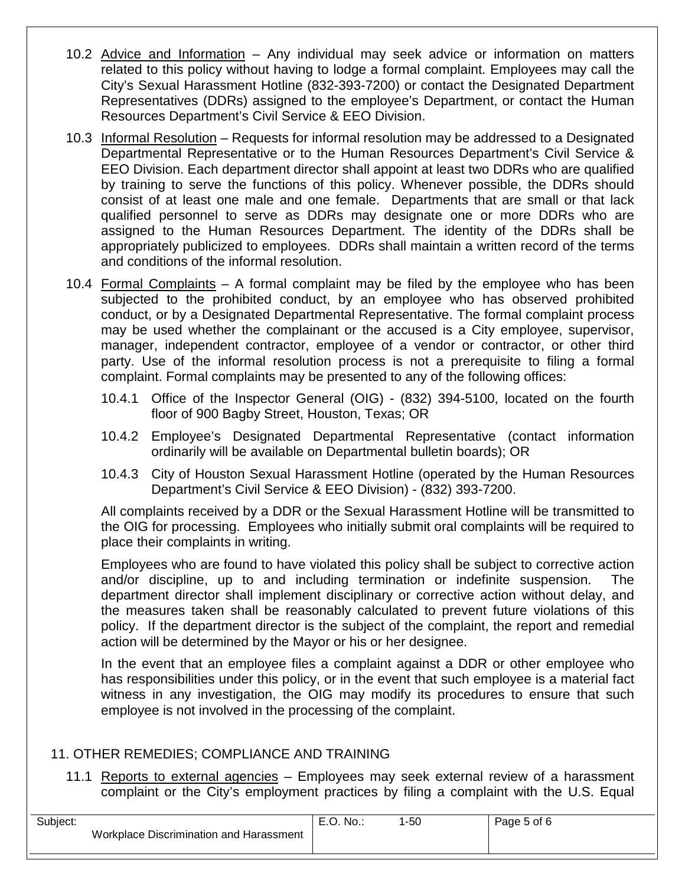- 10.2 Advice and Information Any individual may seek advice or information on matters related to this policy without having to lodge a formal complaint. Employees may call the City's Sexual Harassment Hotline (832-393-7200) or contact the Designated Department Representatives (DDRs) assigned to the employee's Department, or contact the Human Resources Department's Civil Service & EEO Division.
- 10.3 Informal Resolution Requests for informal resolution may be addressed to a Designated Departmental Representative or to the Human Resources Department's Civil Service & EEO Division. Each department director shall appoint at least two DDRs who are qualified by training to serve the functions of this policy. Whenever possible, the DDRs should consist of at least one male and one female. Departments that are small or that lack qualified personnel to serve as DDRs may designate one or more DDRs who are assigned to the Human Resources Department. The identity of the DDRs shall be appropriately publicized to employees. DDRs shall maintain a written record of the terms and conditions of the informal resolution.
- 10.4 Formal Complaints A formal complaint may be filed by the employee who has been subjected to the prohibited conduct, by an employee who has observed prohibited conduct, or by a Designated Departmental Representative. The formal complaint process may be used whether the complainant or the accused is a City employee, supervisor, manager, independent contractor, employee of a vendor or contractor, or other third party. Use of the informal resolution process is not a prerequisite to filing a formal complaint. Formal complaints may be presented to any of the following offices:
	- 10.4.1 Office of the Inspector General (OIG) (832) 394-5100, located on the fourth floor of 900 Bagby Street, Houston, Texas; OR
	- 10.4.2 Employee's Designated Departmental Representative (contact information ordinarily will be available on Departmental bulletin boards); OR
	- 10.4.3 City of Houston Sexual Harassment Hotline (operated by the Human Resources Department's Civil Service & EEO Division) - (832) 393-7200.

All complaints received by a DDR or the Sexual Harassment Hotline will be transmitted to the OIG for processing. Employees who initially submit oral complaints will be required to place their complaints in writing.

Employees who are found to have violated this policy shall be subject to corrective action and/or discipline, up to and including termination or indefinite suspension. The department director shall implement disciplinary or corrective action without delay, and the measures taken shall be reasonably calculated to prevent future violations of this policy. If the department director is the subject of the complaint, the report and remedial action will be determined by the Mayor or his or her designee.

In the event that an employee files a complaint against a DDR or other employee who has responsibilities under this policy, or in the event that such employee is a material fact witness in any investigation, the OIG may modify its procedures to ensure that such employee is not involved in the processing of the complaint.

## 11. OTHER REMEDIES; COMPLIANCE AND TRAINING

11.1 Reports to external agencies – Employees may seek external review of a harassment complaint or the City's employment practices by filing a complaint with the U.S. Equal

| Subject: |                                         | No.:<br>⊢ | $-50$ | Page 5 of 6 |
|----------|-----------------------------------------|-----------|-------|-------------|
|          | Workplace Discrimination and Harassment |           |       |             |
|          |                                         |           |       |             |